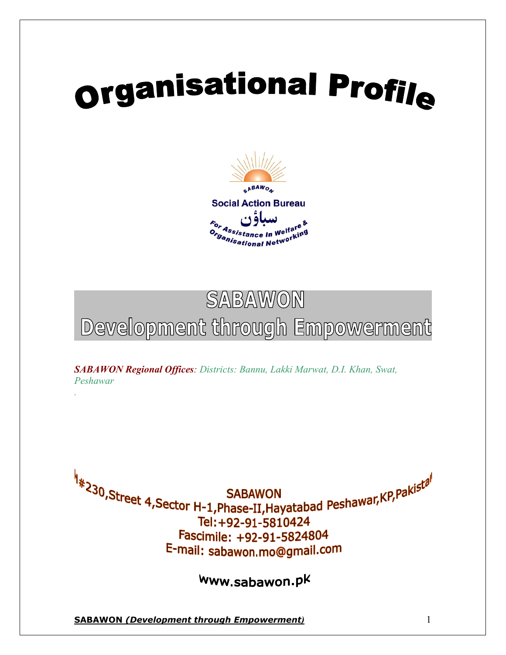# **Organisational Profile**



# SABAWON Development through Empowerment

*SABAWON Regional Offices: Districts: Bannu, Lakki Marwat, D.I. Khan, Swat, Peshawar .*

A<br><sup>4</sup> x<sup>30</sup>,Street 4,Sector H-1,Phase-II,Hayatabad Peshawar,KP,Pakista Tel: +92-91-5810424 Fascimile: +92-91-5824804 E-mail: sabawon.mo@gmail.com

www.sabawon.pk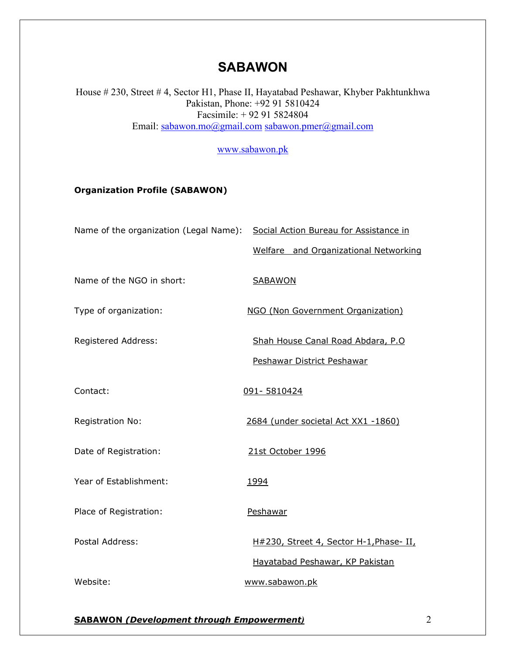# **SABAWON**

House # 230, Street # 4, Sector H1, Phase II, Hayatabad Peshawar, Khyber Pakhtunkhwa Pakistan, Phone: +92 91 5810424 Facsimile: + 92 91 5824804 Email: sabawon.mo@gmail.com sabawon.pmer@gmail.com

www.sabawon.pk

#### Organization Profile (SABAWON)

|                            | Name of the organization (Legal Name): Social Action Bureau for Assistance in |
|----------------------------|-------------------------------------------------------------------------------|
|                            | Welfare and Organizational Networking                                         |
| Name of the NGO in short:  | <b>SABAWON</b>                                                                |
| Type of organization:      | NGO (Non Government Organization)                                             |
| <b>Registered Address:</b> | Shah House Canal Road Abdara, P.O.                                            |
|                            | Peshawar District Peshawar                                                    |
| Contact:                   | 091-5810424                                                                   |
| <b>Registration No:</b>    | 2684 (under societal Act XX1 -1860)                                           |
| Date of Registration:      | 21st October 1996                                                             |
| Year of Establishment:     | 1994                                                                          |
| Place of Registration:     | Peshawar                                                                      |
| Postal Address:            | H#230, Street 4, Sector H-1, Phase- II,                                       |
|                            | Hayatabad Peshawar, KP Pakistan                                               |
| Website:                   | www.sabawon.pk                                                                |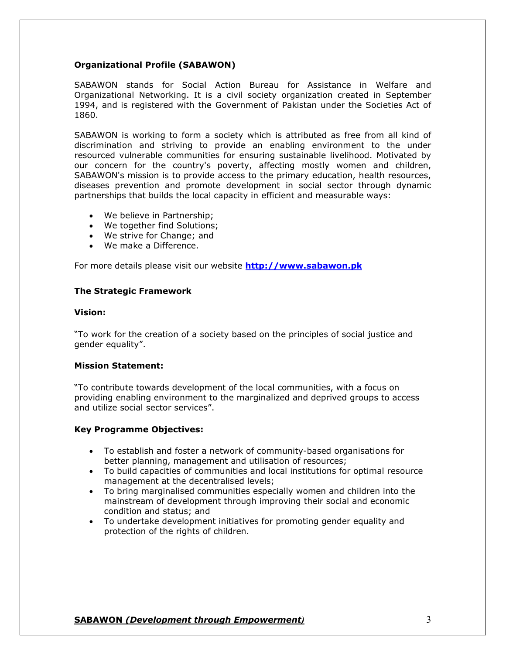#### Organizational Profile (SABAWON)

SABAWON stands for Social Action Bureau for Assistance in Welfare and Organizational Networking. It is a civil society organization created in September 1994, and is registered with the Government of Pakistan under the Societies Act of 1860.

SABAWON is working to form a society which is attributed as free from all kind of discrimination and striving to provide an enabling environment to the under resourced vulnerable communities for ensuring sustainable livelihood. Motivated by our concern for the country's poverty, affecting mostly women and children, SABAWON's mission is to provide access to the primary education, health resources, diseases prevention and promote development in social sector through dynamic partnerships that builds the local capacity in efficient and measurable ways:

- We believe in Partnership;
- We together find Solutions;
- We strive for Change; and
- We make a Difference.

For more details please visit our website **http://www.sabawon.pk** 

#### The Strategic Framework

#### Vision:

"To work for the creation of a society based on the principles of social justice and gender equality".

#### Mission Statement:

"To contribute towards development of the local communities, with a focus on providing enabling environment to the marginalized and deprived groups to access and utilize social sector services".

#### Key Programme Objectives:

- To establish and foster a network of community-based organisations for better planning, management and utilisation of resources;
- To build capacities of communities and local institutions for optimal resource management at the decentralised levels;
- To bring marginalised communities especially women and children into the mainstream of development through improving their social and economic condition and status; and
- To undertake development initiatives for promoting gender equality and protection of the rights of children.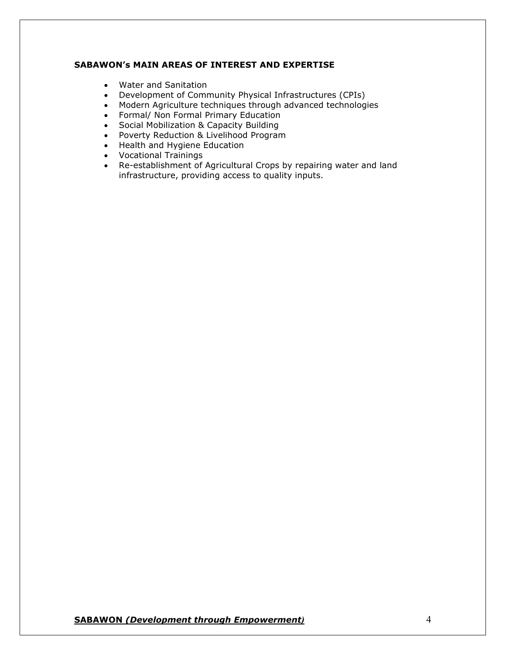#### SABAWON's MAIN AREAS OF INTEREST AND EXPERTISE

- Water and Sanitation
- Development of Community Physical Infrastructures (CPIs)
- Modern Agriculture techniques through advanced technologies
- Formal/ Non Formal Primary Education
- Social Mobilization & Capacity Building
- Poverty Reduction & Livelihood Program
- Health and Hygiene Education
- Vocational Trainings
- Re-establishment of Agricultural Crops by repairing water and land infrastructure, providing access to quality inputs.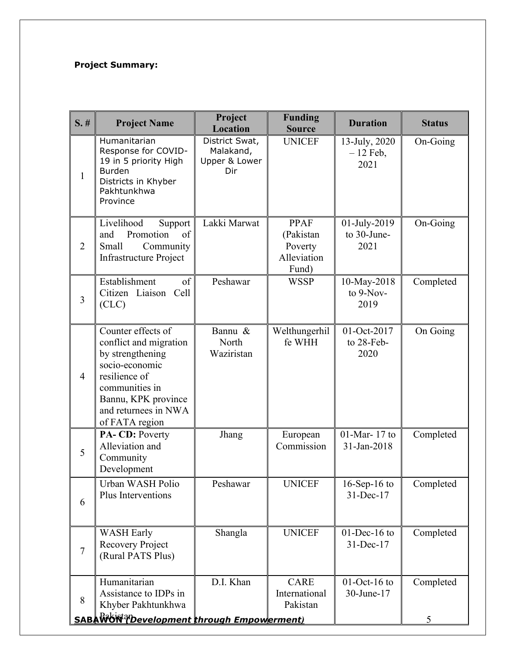# Project Summary:

| $S.$ #         | <b>Project Name</b>                                                                                                                                                                    | Project<br><b>Location</b>                          | <b>Funding</b><br><b>Source</b>                             | <b>Duration</b>                     | <b>Status</b>  |
|----------------|----------------------------------------------------------------------------------------------------------------------------------------------------------------------------------------|-----------------------------------------------------|-------------------------------------------------------------|-------------------------------------|----------------|
| $\mathbf{1}$   | Humanitarian<br>Response for COVID-<br>19 in 5 priority High<br><b>Burden</b><br>Districts in Khyber<br>Pakhtunkhwa<br>Province                                                        | District Swat,<br>Malakand,<br>Upper & Lower<br>Dir | <b>UNICEF</b>                                               | 13-July, 2020<br>$-12$ Feb,<br>2021 | On-Going       |
| $\overline{2}$ | Livelihood<br>Support<br>Promotion<br>of<br>and<br>Small<br>Community<br><b>Infrastructure Project</b>                                                                                 | Lakki Marwat                                        | <b>PPAF</b><br>(Pakistan<br>Poverty<br>Alleviation<br>Fund) | 01-July-2019<br>to 30-June-<br>2021 | On-Going       |
| $\overline{3}$ | Establishment<br>of<br>Citizen Liaison Cell<br>(CLC)                                                                                                                                   | Peshawar                                            | <b>WSSP</b>                                                 | 10-May-2018<br>to 9-Nov-<br>2019    | Completed      |
| $\overline{4}$ | Counter effects of<br>conflict and migration<br>by strengthening<br>socio-economic<br>resilience of<br>communities in<br>Bannu, KPK province<br>and returnees in NWA<br>of FATA region | Bannu &<br>North<br>Waziristan                      | Welthungerhil<br>fe WHH                                     | 01-Oct-2017<br>to 28-Feb-<br>2020   | On Going       |
| 5              | PA-CD: Poverty<br>Alleviation and<br>Community<br>Development                                                                                                                          | Jhang                                               | European<br>Commission                                      | $01$ -Mar- 17 to<br>31-Jan-2018     | Completed      |
| 6              | Urban WASH Polio<br><b>Plus Interventions</b>                                                                                                                                          | Peshawar                                            | <b>UNICEF</b>                                               | $16$ -Sep-16 to<br>$31$ -Dec-17     | Completed      |
| $\tau$         | <b>WASH Early</b><br>Recovery Project<br>(Rural PATS Plus)                                                                                                                             | Shangla                                             | <b>UNICEF</b>                                               | $01$ -Dec-16 to<br>31-Dec-17        | Completed      |
| 8              | Humanitarian<br>Assistance to IDPs in<br>Khyber Pakhtunkhwa<br>SABA WON ?Development through Empowerment)                                                                              | D.I. Khan                                           | <b>CARE</b><br>International<br>Pakistan                    | $01$ -Oct-16 to<br>30-June-17       | Completed<br>5 |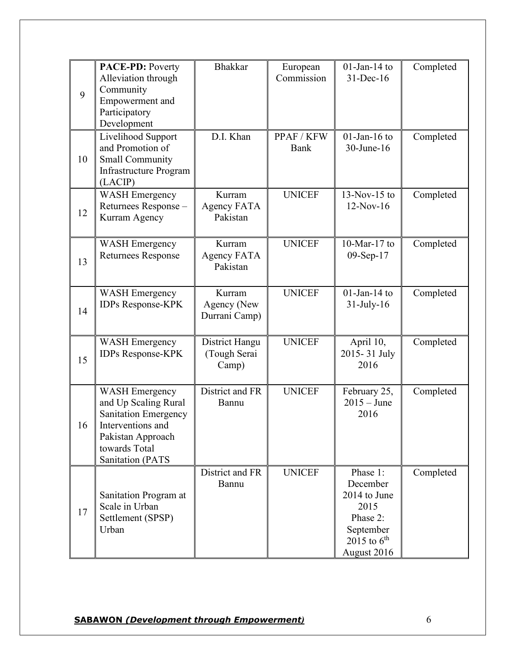| 9  | <b>PACE-PD: Poverty</b><br>Alleviation through<br>Community<br>Empowerment and<br>Participatory<br>Development                                                     | <b>Bhakkar</b>                           | European<br>Commission | $01$ -Jan-14 to<br>$31$ -Dec-16                                                                                 | Completed |
|----|--------------------------------------------------------------------------------------------------------------------------------------------------------------------|------------------------------------------|------------------------|-----------------------------------------------------------------------------------------------------------------|-----------|
| 10 | Livelihood Support<br>and Promotion of<br><b>Small Community</b><br><b>Infrastructure Program</b><br>(LACIP)                                                       | D.I. Khan                                | PPAF / KFW<br>Bank     | $01$ -Jan-16 to<br>30-June-16                                                                                   | Completed |
| 12 | <b>WASH Emergency</b><br>Returnees Response -<br>Kurram Agency                                                                                                     | Kurram<br><b>Agency FATA</b><br>Pakistan | <b>UNICEF</b>          | $13-Nov-15$ to<br>$12-Nov-16$                                                                                   | Completed |
| 13 | <b>WASH Emergency</b><br><b>Returnees Response</b>                                                                                                                 | Kurram<br>Agency FATA<br>Pakistan        | <b>UNICEF</b>          | $10$ -Mar- $17$ to<br>09-Sep-17                                                                                 | Completed |
| 14 | <b>WASH Emergency</b><br><b>IDPs Response-KPK</b>                                                                                                                  | Kurram<br>Agency (New<br>Durrani Camp)   | <b>UNICEF</b>          | $01$ -Jan-14 to<br>$31$ -July-16                                                                                | Completed |
| 15 | <b>WASH Emergency</b><br>IDPs Response-KPK                                                                                                                         | District Hangu<br>(Tough Serai<br>Camp)  | <b>UNICEF</b>          | April 10,<br>2015-31 July<br>2016                                                                               | Completed |
| 16 | <b>WASH Emergency</b><br>and Up Scaling Rural<br><b>Sanitation Emergency</b><br>Interventions and<br>Pakistan Approach<br>towards Total<br><b>Sanitation (PATS</b> | District and FR<br>Bannu                 | <b>UNICEF</b>          | February 25,<br>$2015 - June$<br>2016                                                                           | Completed |
| 17 | Sanitation Program at<br>Scale in Urban<br>Settlement (SPSP)<br>Urban                                                                                              | District and FR<br>Bannu                 | <b>UNICEF</b>          | Phase 1:<br>December<br>2014 to June<br>2015<br>Phase 2:<br>September<br>2015 to $6^{\text{th}}$<br>August 2016 | Completed |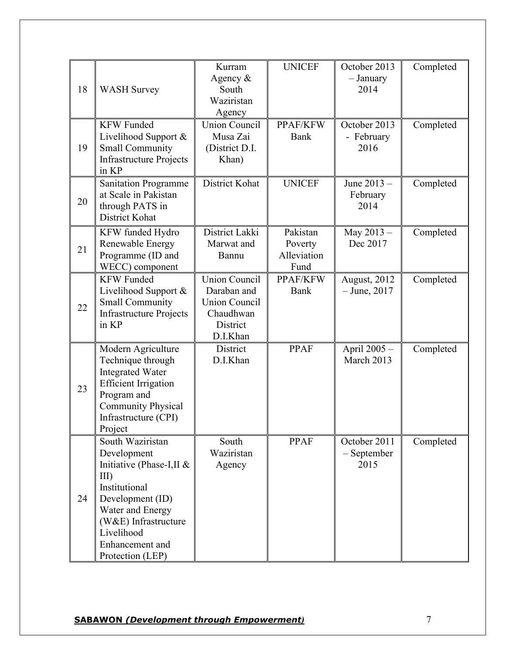| 18 | <b>WASH Survey</b>                                                                                                                                                                                           | Kurram<br>Agency $\&$<br>South<br>Waziristan<br>Agency                                           | <b>UNICEF</b>                              | October 2013<br>- January<br>2014   | Completed |
|----|--------------------------------------------------------------------------------------------------------------------------------------------------------------------------------------------------------------|--------------------------------------------------------------------------------------------------|--------------------------------------------|-------------------------------------|-----------|
| 19 | <b>KFW</b> Funded<br>Livelihood Support &<br><b>Small Community</b><br><b>Infrastructure Projects</b><br>in KP                                                                                               | <b>Union Council</b><br>Musa Zai<br>(District D.I.<br>Khan)                                      | PPAF/KFW<br>Bank                           | October 2013<br>- February<br>2016  | Completed |
| 20 | <b>Sanitation Programme</b><br>at Scale in Pakistan<br>through PATS in<br>District Kohat                                                                                                                     | District Kohat                                                                                   | <b>UNICEF</b>                              | June 2013 -<br>February<br>2014     | Completed |
| 21 | KFW funded Hydro<br>Renewable Energy<br>Programme (ID and<br>WECC) component                                                                                                                                 | District Lakki<br>Marwat and<br>Bannu                                                            | Pakistan<br>Poverty<br>Alleviation<br>Fund | May 2013-<br>Dec 2017               | Completed |
| 22 | <b>KFW Funded</b><br>Livelihood Support &<br><b>Small Community</b><br><b>Infrastructure Projects</b><br>in KP                                                                                               | <b>Union Council</b><br>Daraban and<br><b>Union Council</b><br>Chaudhwan<br>District<br>D.I.Khan | PPAF/KFW<br><b>Bank</b>                    | August, 2012<br>$-$ June, 2017      | Completed |
| 23 | Modern Agriculture<br>Technique through<br><b>Integrated Water</b><br><b>Efficient Irrigation</b><br>Program and<br><b>Community Physical</b><br>Infrastructure (CPI)<br>Project                             | District<br>D.I.Khan                                                                             | <b>PPAF</b>                                | April 2005 -<br>March 2013          | Completed |
| 24 | South Waziristan<br>Development<br>Initiative (Phase-I,II &<br>$III$ )<br>Institutional<br>Development (ID)<br>Water and Energy<br>(W&E) Infrastructure<br>Livelihood<br>Enhancement and<br>Protection (LEP) | South<br>Waziristan<br>Agency                                                                    | PPAF                                       | October 2011<br>- September<br>2015 | Completed |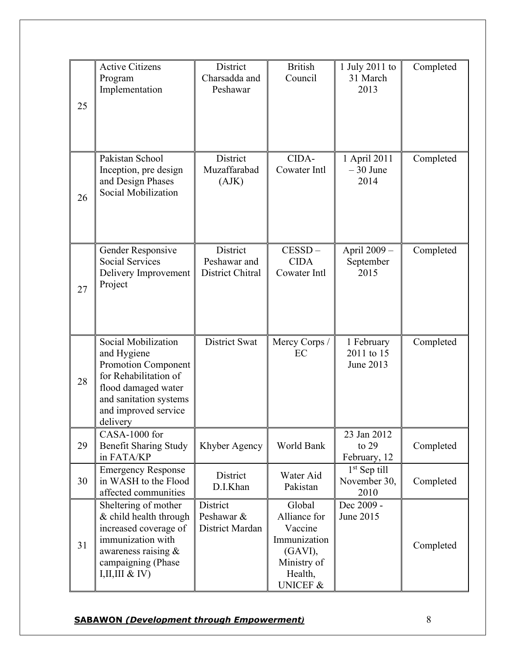| 25 | <b>Active Citizens</b><br>Program<br>Implementation                                                                                                                     | District<br>Charsadda and<br>Peshawar        | <b>British</b><br>Council                                                                                     | 1 July 2011 to<br>31 March<br>2013     | Completed |
|----|-------------------------------------------------------------------------------------------------------------------------------------------------------------------------|----------------------------------------------|---------------------------------------------------------------------------------------------------------------|----------------------------------------|-----------|
| 26 | Pakistan School<br>Inception, pre design<br>and Design Phases<br>Social Mobilization                                                                                    | District<br>Muzaffarabad<br>(AJK)            | CIDA-<br>Cowater Intl                                                                                         | 1 April 2011<br>$-30$ June<br>2014     | Completed |
| 27 | Gender Responsive<br><b>Social Services</b><br>Delivery Improvement<br>Project                                                                                          | District<br>Peshawar and<br>District Chitral | $CESSD -$<br><b>CIDA</b><br>Cowater Intl                                                                      | April 2009 -<br>September<br>2015      | Completed |
| 28 | Social Mobilization<br>and Hygiene<br>Promotion Component<br>for Rehabilitation of<br>flood damaged water<br>and sanitation systems<br>and improved service<br>delivery | District Swat                                | Mercy Corps /<br>EC                                                                                           | 1 February<br>2011 to 15<br>June 2013  | Completed |
| 29 | CASA-1000 for<br><b>Benefit Sharing Study</b><br>in FATA/KP                                                                                                             | Khyber Agency                                | World Bank                                                                                                    | 23 Jan 2012<br>to $29$<br>February, 12 | Completed |
| 30 | <b>Emergency Response</b><br>in WASH to the Flood<br>affected communities                                                                                               | District<br>D.I.Khan                         | Water Aid<br>Pakistan                                                                                         | $1st$ Sep till<br>November 30,<br>2010 | Completed |
| 31 | Sheltering of mother<br>& child health through<br>increased coverage of<br>immunization with<br>awareness raising $\&$<br>campaigning (Phase<br>I, II, III & IV)        | District<br>Peshawar &<br>District Mardan    | Global<br>Alliance for<br>Vaccine<br>Immunization<br>(GAVI),<br>Ministry of<br>Health,<br><b>UNICEF &amp;</b> | Dec 2009 -<br>June 2015                | Completed |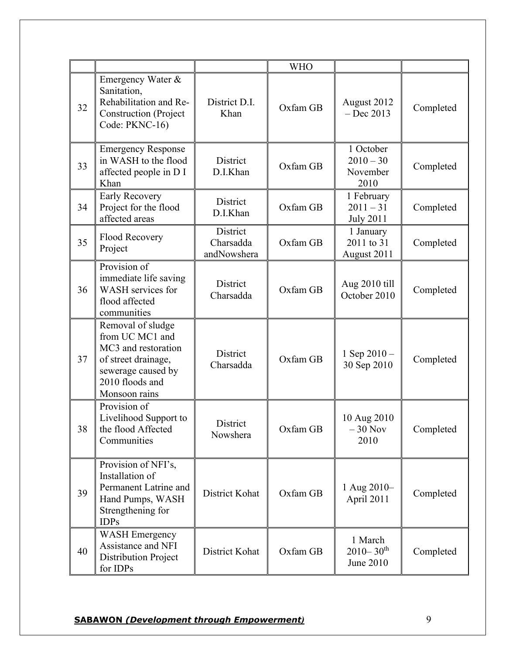|    |                                                                                                                                              |                                      | <b>WHO</b> |                                                   |           |
|----|----------------------------------------------------------------------------------------------------------------------------------------------|--------------------------------------|------------|---------------------------------------------------|-----------|
| 32 | Emergency Water &<br>Sanitation,<br>Rehabilitation and Re-<br><b>Construction</b> (Project<br>Code: PKNC-16)                                 | District D.I.<br>Khan                | Oxfam GB   | August 2012<br>$-$ Dec 2013                       | Completed |
| 33 | <b>Emergency Response</b><br>in WASH to the flood<br>affected people in D I<br>Khan                                                          | District<br>D.I.Khan                 | Oxfam GB   | 1 October<br>$2010 - 30$<br>November<br>2010      | Completed |
| 34 | Early Recovery<br>Project for the flood<br>affected areas                                                                                    | District<br>D.I.Khan                 | Oxfam GB   | 1 February<br>$2011 - 31$<br><b>July 2011</b>     | Completed |
| 35 | Flood Recovery<br>Project                                                                                                                    | District<br>Charsadda<br>andNowshera | Oxfam GB   | 1 January<br>2011 to 31<br>August 2011            | Completed |
| 36 | Provision of<br>immediate life saving<br>WASH services for<br>flood affected<br>communities                                                  | District<br>Charsadda                | Oxfam GB   | Aug 2010 till<br>October 2010                     | Completed |
| 37 | Removal of sludge<br>from UC MC1 and<br>MC3 and restoration<br>of street drainage,<br>sewerage caused by<br>2010 floods and<br>Monsoon rains | District<br>Charsadda                | Oxfam GB   | 1 Sep $2010 -$<br>30 Sep 2010                     | Completed |
| 38 | Provision of<br>Livelihood Support to<br>the flood Affected<br>Communities                                                                   | District<br>Nowshera                 | Oxfam GB   | 10 Aug 2010<br>$-30$ Nov<br>2010                  | Completed |
| 39 | Provision of NFI's,<br>Installation of<br>Permanent Latrine and<br>Hand Pumps, WASH<br>Strengthening for<br><b>IDPs</b>                      | District Kohat                       | Oxfam GB   | 1 Aug 2010-<br>April 2011                         | Completed |
| 40 | <b>WASH Emergency</b><br>Assistance and NFI<br>Distribution Project<br>for IDPs                                                              | District Kohat                       | Oxfam GB   | 1 March<br>$2010 - 30$ <sup>th</sup><br>June 2010 | Completed |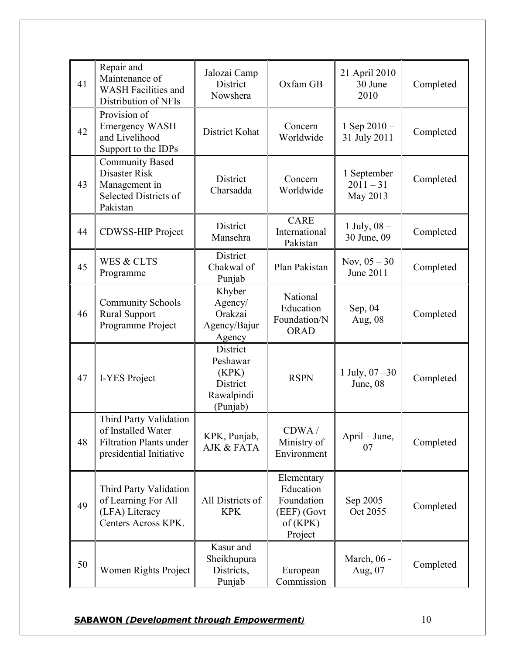|    | Repair and<br>Maintenance of                                                                              | Jalozai Camp                                                        |                                                                            | 21 April 2010                          |           |
|----|-----------------------------------------------------------------------------------------------------------|---------------------------------------------------------------------|----------------------------------------------------------------------------|----------------------------------------|-----------|
| 41 | <b>WASH Facilities and</b><br>Distribution of NFIs                                                        | District<br>Nowshera                                                | Oxfam GB                                                                   | $-30$ June<br>2010                     | Completed |
| 42 | Provision of<br><b>Emergency WASH</b><br>and Livelihood<br>Support to the IDPs                            | District Kohat                                                      | Concern<br>Worldwide                                                       | 1 Sep 2010-<br>31 July 2011            | Completed |
| 43 | <b>Community Based</b><br>Disaster Risk<br>Management in<br><b>Selected Districts of</b><br>Pakistan      | District<br>Charsadda                                               | Concern<br>Worldwide                                                       | 1 September<br>$2011 - 31$<br>May 2013 | Completed |
| 44 | <b>CDWSS-HIP Project</b>                                                                                  | <b>District</b><br>Mansehra                                         | <b>CARE</b><br>International<br>Pakistan                                   | 1 July, $08 -$<br>30 June, 09          | Completed |
| 45 | WES & CLTS<br>Programme                                                                                   | District<br>Chakwal of<br>Punjab                                    | Plan Pakistan                                                              | Nov, $05 - 30$<br>June 2011            | Completed |
| 46 | <b>Community Schools</b><br><b>Rural Support</b><br>Programme Project                                     | Khyber<br>Agency/<br>Orakzai<br>Agency/Bajur<br>Agency              | National<br>Education<br>Foundation/N<br><b>ORAD</b>                       | Sep, $04-$<br>Aug, 08                  | Completed |
| 47 | I-YES Project                                                                                             | District<br>Peshawar<br>(KPK)<br>District<br>Rawalpindi<br>(Punjab) | <b>RSPN</b>                                                                | 1 July, $07 - 30$<br>June, 08          | Completed |
| 48 | Third Party Validation<br>of Installed Water<br><b>Filtration Plants under</b><br>presidential Initiative | KPK, Punjab,<br><b>AJK &amp; FATA</b>                               | CDWA/<br>Ministry of<br>Environment                                        | April – June,<br>07                    | Completed |
| 49 | Third Party Validation<br>of Learning For All<br>(LFA) Literacy<br>Centers Across KPK.                    | All Districts of<br><b>KPK</b>                                      | Elementary<br>Education<br>Foundation<br>(EEF) (Govt<br>of(KPK)<br>Project | Sep $2005 -$<br>Oct 2055               | Completed |
| 50 | Women Rights Project                                                                                      | Kasur and<br>Sheikhupura<br>Districts,<br>Punjab                    | European<br>Commission                                                     | March, 06 -<br>Aug, 07                 | Completed |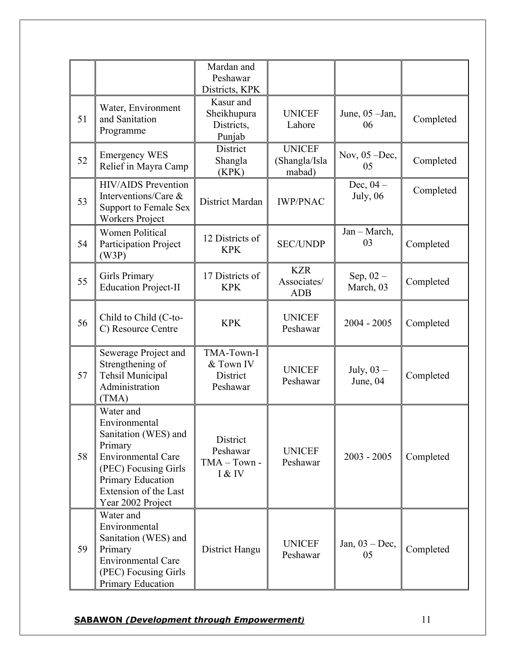|    |                                                                                                                                                                                              | Mardan and<br>Peshawar<br>Districts, KPK         |                                          |                                |           |
|----|----------------------------------------------------------------------------------------------------------------------------------------------------------------------------------------------|--------------------------------------------------|------------------------------------------|--------------------------------|-----------|
| 51 | Water, Environment<br>and Sanitation<br>Programme                                                                                                                                            | Kasur and<br>Sheikhupura<br>Districts,<br>Punjab | <b>UNICEF</b><br>Lahore                  | June, $05$ -Jan,<br>06         | Completed |
| 52 | <b>Emergency WES</b><br>Relief in Mayra Camp                                                                                                                                                 | District<br>Shangla<br>(KPK)                     | <b>UNICEF</b><br>(Shangla/Isla<br>mabad) | Nov, $05 - Dec$ ,<br>05        | Completed |
| 53 | <b>HIV/AIDS</b> Prevention<br>Interventions/Care &<br><b>Support to Female Sex</b><br><b>Workers Project</b>                                                                                 | District Mardan                                  | <b>IWP/PNAC</b>                          | Dec, $04-$<br><b>July</b> , 06 | Completed |
| 54 | <b>Women Political</b><br><b>Participation Project</b><br>(W3P)                                                                                                                              | 12 Districts of<br><b>KPK</b>                    | <b>SEC/UNDP</b>                          | Jan - March,<br>03             | Completed |
| 55 | <b>Girls Primary</b><br><b>Education Project-II</b>                                                                                                                                          | 17 Districts of<br><b>KPK</b>                    | <b>KZR</b><br>Associates/<br><b>ADB</b>  | Sep, $02 -$<br>March, 03       | Completed |
| 56 | Child to Child (C-to-<br>C) Resource Centre                                                                                                                                                  | <b>KPK</b>                                       | <b>UNICEF</b><br>Peshawar                | $2004 - 2005$                  | Completed |
| 57 | Sewerage Project and<br>Strengthening of<br>Tehsil Municipal<br>Administration<br>(TMA)                                                                                                      | TMA-Town-I<br>& Town IV<br>District<br>Peshawar  | <b>UNICEF</b><br>Peshawar                | July, $03 -$<br>June, $04$     | Completed |
| 58 | Water and<br>Environmental<br>Sanitation (WES) and<br>Primary<br><b>Environmental Care</b><br>(PEC) Focusing Girls<br><b>Primary Education</b><br>Extension of the Last<br>Year 2002 Project | District<br>Peshawar<br>$TMA - Town -$<br>I & IV | <b>UNICEF</b><br>Peshawar                | $2003 - 2005$                  | Completed |
| 59 | Water and<br>Environmental<br>Sanitation (WES) and<br>Primary<br><b>Environmental Care</b><br>(PEC) Focusing Girls<br><b>Primary Education</b>                                               | District Hangu                                   | <b>UNICEF</b><br>Peshawar                | Jan, $03 - Dec$ ,<br>05        | Completed |